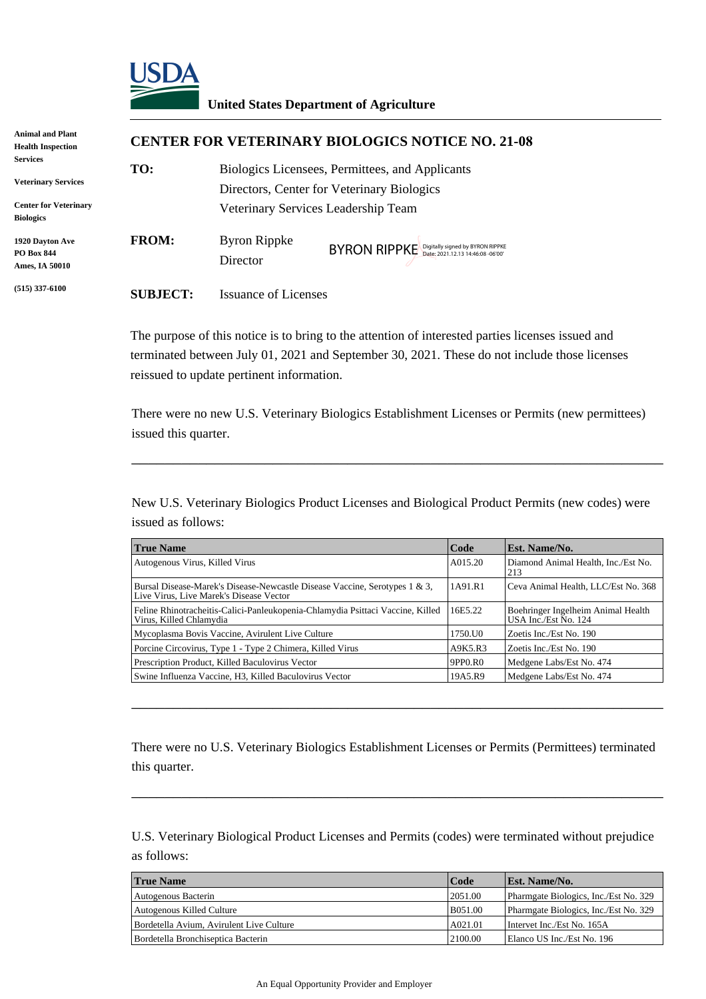

#### **United States Department of Agriculture**

| Animal and Plant<br><b>Health Inspection</b>                                  | <b>CENTER FOR VETERINARY BIOLOGICS NOTICE NO. 21-08</b> |                                                                                                                                      |                                               |  |
|-------------------------------------------------------------------------------|---------------------------------------------------------|--------------------------------------------------------------------------------------------------------------------------------------|-----------------------------------------------|--|
| <b>Services</b><br><b>Veterinary Services</b><br><b>Center for Veterinary</b> | TO:                                                     | Biologics Licensees, Permittees, and Applicants<br>Directors, Center for Veterinary Biologics<br>Veterinary Services Leadership Team |                                               |  |
| <b>Biologics</b><br>1920 Davton Ave<br><b>PO Box 844</b><br>Ames, IA 50010    | <b>FROM:</b>                                            | <b>Byron Rippke</b><br>Director                                                                                                      | BYRON RIPPKE Digitally signed by BYRON RIPPKE |  |
| $(515)$ 337-6100                                                              | <b>SUBJECT:</b>                                         | <b>Issuance of Licenses</b>                                                                                                          |                                               |  |

|                                                        | D yron ruppire<br>Director                                                                                                                     | BYRON RIPPKE Digitally signed by BYRON RIPPKE |                    |                                                                                                   |  |
|--------------------------------------------------------|------------------------------------------------------------------------------------------------------------------------------------------------|-----------------------------------------------|--------------------|---------------------------------------------------------------------------------------------------|--|
| <b>SUBJECT:</b>                                        | <b>Issuance of Licenses</b>                                                                                                                    |                                               |                    |                                                                                                   |  |
|                                                        | The purpose of this notice is to bring to the attention of interested parties licenses issued and<br>reissued to update pertinent information. |                                               |                    | terminated between July 01, 2021 and September 30, 2021. These do not include those licenses      |  |
| issued this quarter.                                   |                                                                                                                                                |                                               |                    | There were no new U.S. Veterinary Biologics Establishment Licenses or Permits (new permittees)    |  |
| issued as follows:                                     |                                                                                                                                                |                                               |                    | New U.S. Veterinary Biologics Product Licenses and Biological Product Permits (new codes) were    |  |
| <b>True Name</b>                                       |                                                                                                                                                |                                               | Code               | Est. Name/No.                                                                                     |  |
| Autogenous Virus, Killed Virus                         |                                                                                                                                                |                                               | A015.20            | Diamond Animal Health, Inc./Est No.<br>213                                                        |  |
|                                                        | Bursal Disease-Marek's Disease-Newcastle Disease Vaccine, Serotypes 1 & 3,<br>Live Virus, Live Marek's Disease Vector                          |                                               | 1A91.R1            | Ceva Animal Health, LLC/Est No. 368                                                               |  |
| Virus, Killed Chlamydia                                | Feline Rhinotracheitis-Calici-Panleukopenia-Chlamydia Psittaci Vaccine, Killed                                                                 |                                               | 16E5.22            | Boehringer Ingelheim Animal Health<br>USA Inc./Est No. 124                                        |  |
|                                                        | Mycoplasma Bovis Vaccine, Avirulent Live Culture                                                                                               |                                               | 1750.U0            | Zoetis Inc./Est No. 190                                                                           |  |
|                                                        | Porcine Circovirus, Type 1 - Type 2 Chimera, Killed Virus                                                                                      |                                               | A9K5.R3            | Zoetis Inc./Est No. 190                                                                           |  |
|                                                        | Prescription Product, Killed Baculovirus Vector                                                                                                |                                               | 9PP0.R0<br>19A5.R9 | Medgene Labs/Est No. 474<br>Medgene Labs/Est No. 474                                              |  |
|                                                        |                                                                                                                                                |                                               |                    |                                                                                                   |  |
| Swine Influenza Vaccine, H3, Killed Baculovirus Vector |                                                                                                                                                |                                               |                    |                                                                                                   |  |
| this quarter.                                          |                                                                                                                                                |                                               |                    | There were no U.S. Veterinary Biologics Establishment Licenses or Permits (Permittees) terminated |  |
| as follows:                                            |                                                                                                                                                |                                               |                    | U.S. Veterinary Biological Product Licenses and Permits (codes) were terminated without prejudice |  |
| <b>True Name</b>                                       |                                                                                                                                                |                                               | Code               | Est. Name/No.                                                                                     |  |
| Autogenous Bacterin                                    |                                                                                                                                                |                                               | 2051.00            | Pharmgate Biologics, Inc./Est No. 329                                                             |  |
| Autogenous Killed Culture                              |                                                                                                                                                |                                               | B051.00            | Pharmgate Biologics, Inc./Est No. 329                                                             |  |
|                                                        | Bordetella Avium, Avirulent Live Culture                                                                                                       |                                               | A021.01            | Intervet Inc./Est No. 165A                                                                        |  |

| <b>True Name</b>                         | Code    | <b>Est. Name/No.</b>                  |
|------------------------------------------|---------|---------------------------------------|
| Autogenous Bacterin                      | 2051.00 | Pharmgate Biologics, Inc./Est No. 329 |
| Autogenous Killed Culture                | B051.00 | Pharmgate Biologics, Inc./Est No. 329 |
| Bordetella Avium, Avirulent Live Culture | A021.01 | Intervet Inc./Est No. 165A            |
| Bordetella Bronchiseptica Bacterin       | 2100.00 | Elanco US Inc./Est No. 196            |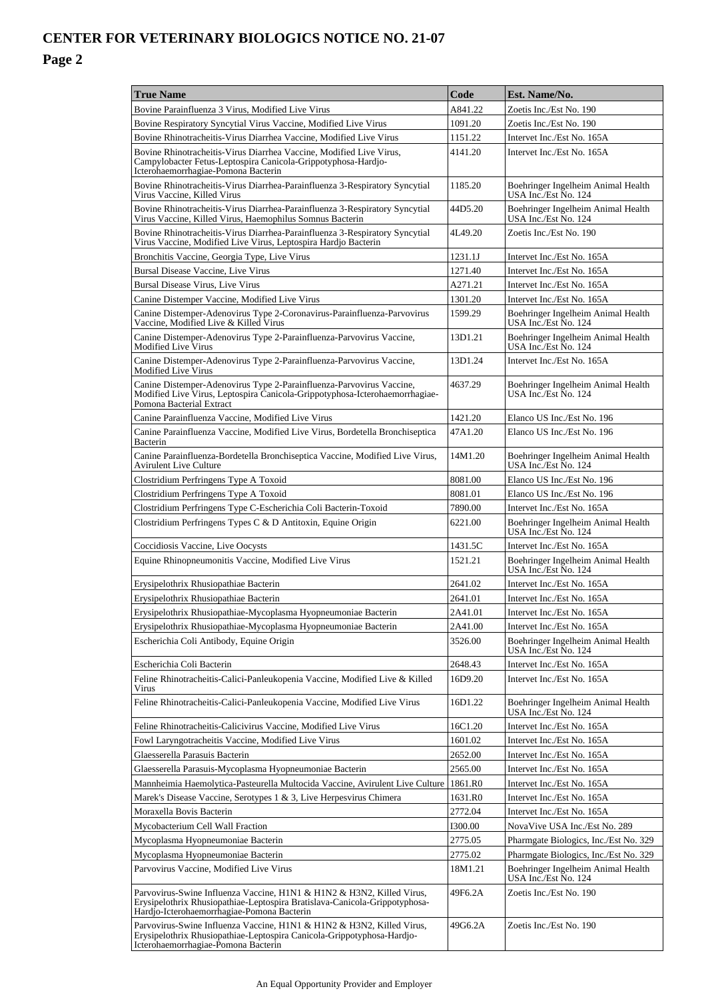## **CENTER FOR VETERINARY BIOLOGICS NOTICE NO. 21-07**

#### **Page 2**

| <b>True Name</b>                                                                                                                                                                                  | Code    | Est. Name/No.                                              |  |
|---------------------------------------------------------------------------------------------------------------------------------------------------------------------------------------------------|---------|------------------------------------------------------------|--|
| Bovine Parainfluenza 3 Virus, Modified Live Virus                                                                                                                                                 |         | Zoetis Inc./Est No. 190                                    |  |
| Bovine Respiratory Syncytial Virus Vaccine, Modified Live Virus                                                                                                                                   | 1091.20 | Zoetis Inc./Est No. 190                                    |  |
| Bovine Rhinotracheitis-Virus Diarrhea Vaccine, Modified Live Virus                                                                                                                                | 1151.22 | Intervet Inc./Est No. 165A                                 |  |
| Bovine Rhinotracheitis-Virus Diarrhea Vaccine, Modified Live Virus,<br>Campylobacter Fetus-Leptospira Canicola-Grippotyphosa-Hardjo-<br>Icterohaemorrhagiae-Pomona Bacterin                       | 4141.20 | Intervet Inc./Est No. 165A                                 |  |
| Bovine Rhinotracheitis-Virus Diarrhea-Parainfluenza 3-Respiratory Syncytial<br>Virus Vaccine, Killed Virus                                                                                        | 1185.20 | Boehringer Ingelheim Animal Health<br>USA Inc./Est No. 124 |  |
| Bovine Rhinotracheitis-Virus Diarrhea-Parainfluenza 3-Respiratory Syncytial<br>Virus Vaccine, Killed Virus, Haemophilus Somnus Bacterin                                                           |         | Boehringer Ingelheim Animal Health<br>USA Inc./Est No. 124 |  |
| Bovine Rhinotracheitis-Virus Diarrhea-Parainfluenza 3-Respiratory Syncytial<br>Virus Vaccine, Modified Live Virus, Leptospira Hardjo Bacterin                                                     | 4L49.20 | Zoetis Inc./Est No. 190                                    |  |
| Bronchitis Vaccine, Georgia Type, Live Virus                                                                                                                                                      | 1231.1J | Intervet Inc./Est No. 165A                                 |  |
| Bursal Disease Vaccine, Live Virus                                                                                                                                                                | 1271.40 | Intervet Inc./Est No. 165A                                 |  |
| Bursal Disease Virus, Live Virus                                                                                                                                                                  | A271.21 | Intervet Inc./Est No. 165A                                 |  |
| Canine Distemper Vaccine, Modified Live Virus                                                                                                                                                     | 1301.20 | Intervet Inc./Est No. 165A                                 |  |
| Canine Distemper-Adenovirus Type 2-Coronavirus-Parainfluenza-Parvovirus<br>Vaccine, Modified Live & Killed Virus                                                                                  | 1599.29 | Boehringer Ingelheim Animal Health<br>USA Inc./Est No. 124 |  |
| Canine Distemper-Adenovirus Type 2-Parainfluenza-Parvovirus Vaccine,<br>Modified Live Virus                                                                                                       |         | Boehringer Ingelheim Animal Health<br>USA Inc./Est No. 124 |  |
| Canine Distemper-Adenovirus Type 2-Parainfluenza-Parvovirus Vaccine,<br>Modified Live Virus                                                                                                       | 13D1.24 | Intervet Inc./Est No. 165A                                 |  |
| Canine Distemper-Adenovirus Type 2-Parainfluenza-Parvovirus Vaccine,<br>Modified Live Virus, Leptospira Canicola-Grippotyphosa-Icterohaemorrhagiae-<br>Pomona Bacterial Extract                   | 4637.29 | Boehringer Ingelheim Animal Health<br>USA Inc./Est No. 124 |  |
| Canine Parainfluenza Vaccine, Modified Live Virus                                                                                                                                                 | 1421.20 | Elanco US Inc./Est No. 196                                 |  |
| Canine Parainfluenza Vaccine, Modified Live Virus, Bordetella Bronchiseptica<br>Bacterin                                                                                                          | 47A1.20 | Elanco US Inc./Est No. 196                                 |  |
| Canine Parainfluenza-Bordetella Bronchiseptica Vaccine, Modified Live Virus,<br><b>Avirulent Live Culture</b>                                                                                     | 14M1.20 | Boehringer Ingelheim Animal Health<br>USA Inc./Est No. 124 |  |
| Clostridium Perfringens Type A Toxoid                                                                                                                                                             | 8081.00 | Elanco US Inc./Est No. 196                                 |  |
| Clostridium Perfringens Type A Toxoid                                                                                                                                                             | 8081.01 | Elanco US Inc./Est No. 196                                 |  |
| Clostridium Perfringens Type C-Escherichia Coli Bacterin-Toxoid                                                                                                                                   | 7890.00 | Intervet Inc./Est No. 165A                                 |  |
| Clostridium Perfringens Types C & D Antitoxin, Equine Origin                                                                                                                                      | 6221.00 | Boehringer Ingelheim Animal Health<br>USA Inc./Est No. 124 |  |
| Coccidiosis Vaccine, Live Oocysts                                                                                                                                                                 | 1431.5C | Intervet Inc./Est No. 165A                                 |  |
| Equine Rhinopneumonitis Vaccine, Modified Live Virus                                                                                                                                              | 1521.21 | Boehringer Ingelheim Animal Health<br>USA Inc./Est No. 124 |  |
| Erysipelothrix Rhusiopathiae Bacterin                                                                                                                                                             | 2641.02 | Intervet Inc./Est No. 165A                                 |  |
| Erysipelothrix Rhusiopathiae Bacterin                                                                                                                                                             | 2641.01 | Intervet Inc./Est No. 165A                                 |  |
| Erysipelothrix Rhusiopathiae-Mycoplasma Hyopneumoniae Bacterin                                                                                                                                    | 2A41.01 | Intervet Inc./Est No. 165A                                 |  |
| Erysipelothrix Rhusiopathiae-Mycoplasma Hyopneumoniae Bacterin                                                                                                                                    | 2A41.00 | Intervet Inc./Est No. 165A                                 |  |
| Escherichia Coli Antibody, Equine Origin                                                                                                                                                          |         | Boehringer Ingelheim Animal Health<br>USA Inc./Est No. 124 |  |
| Escherichia Coli Bacterin                                                                                                                                                                         | 2648.43 | Intervet Inc./Est No. 165A                                 |  |
| Feline Rhinotracheitis-Calici-Panleukopenia Vaccine, Modified Live & Killed<br>Virus                                                                                                              |         | Intervet Inc./Est No. 165A                                 |  |
| Feline Rhinotracheitis-Calici-Panleukopenia Vaccine, Modified Live Virus                                                                                                                          | 16D1.22 | Boehringer Ingelheim Animal Health<br>USA Inc./Est No. 124 |  |
| Feline Rhinotracheitis-Calicivirus Vaccine, Modified Live Virus                                                                                                                                   | 16C1.20 | Intervet Inc./Est No. 165A                                 |  |
| Fowl Laryngotracheitis Vaccine, Modified Live Virus                                                                                                                                               | 1601.02 | Intervet Inc./Est No. 165A                                 |  |
| Glaesserella Parasuis Bacterin                                                                                                                                                                    | 2652.00 | Intervet Inc./Est No. 165A                                 |  |
| Glaesserella Parasuis-Mycoplasma Hyopneumoniae Bacterin                                                                                                                                           | 2565.00 | Intervet Inc./Est No. 165A                                 |  |
| Mannheimia Haemolytica-Pasteurella Multocida Vaccine, Avirulent Live Culture                                                                                                                      | 1861.R0 | Intervet Inc./Est No. 165A                                 |  |
| Marek's Disease Vaccine, Serotypes 1 & 3, Live Herpesvirus Chimera                                                                                                                                | 1631.R0 | Intervet Inc./Est No. 165A                                 |  |
| Moraxella Bovis Bacterin                                                                                                                                                                          |         | Intervet Inc./Est No. 165A                                 |  |
| Mycobacterium Cell Wall Fraction                                                                                                                                                                  |         | NovaVive USA Inc./Est No. 289                              |  |
| Mycoplasma Hyopneumoniae Bacterin                                                                                                                                                                 |         | Pharmgate Biologics, Inc./Est No. 329                      |  |
| Mycoplasma Hyopneumoniae Bacterin                                                                                                                                                                 |         | Pharmgate Biologics, Inc./Est No. 329                      |  |
| Parvovirus Vaccine, Modified Live Virus                                                                                                                                                           |         | Boehringer Ingelheim Animal Health<br>USA Inc./Est No. 124 |  |
| Parvovirus-Swine Influenza Vaccine, H1N1 & H1N2 & H3N2, Killed Virus,<br>Erysipelothrix Rhusiopathiae-Leptospira Bratislava-Canicola-Grippotyphosa-<br>Hardjo-Icterohaemorrhagiae-Pomona Bacterin | 49F6.2A | Zoetis Inc./Est No. 190                                    |  |
| Parvovirus-Swine Influenza Vaccine, H1N1 & H1N2 & H3N2, Killed Virus,<br>Erysipelothrix Rhusiopathiae-Leptospira Canicola-Grippotyphosa-Hardjo-<br>Icterohaemorrhagiae-Pomona Bacterin            |         | Zoetis Inc./Est No. 190                                    |  |